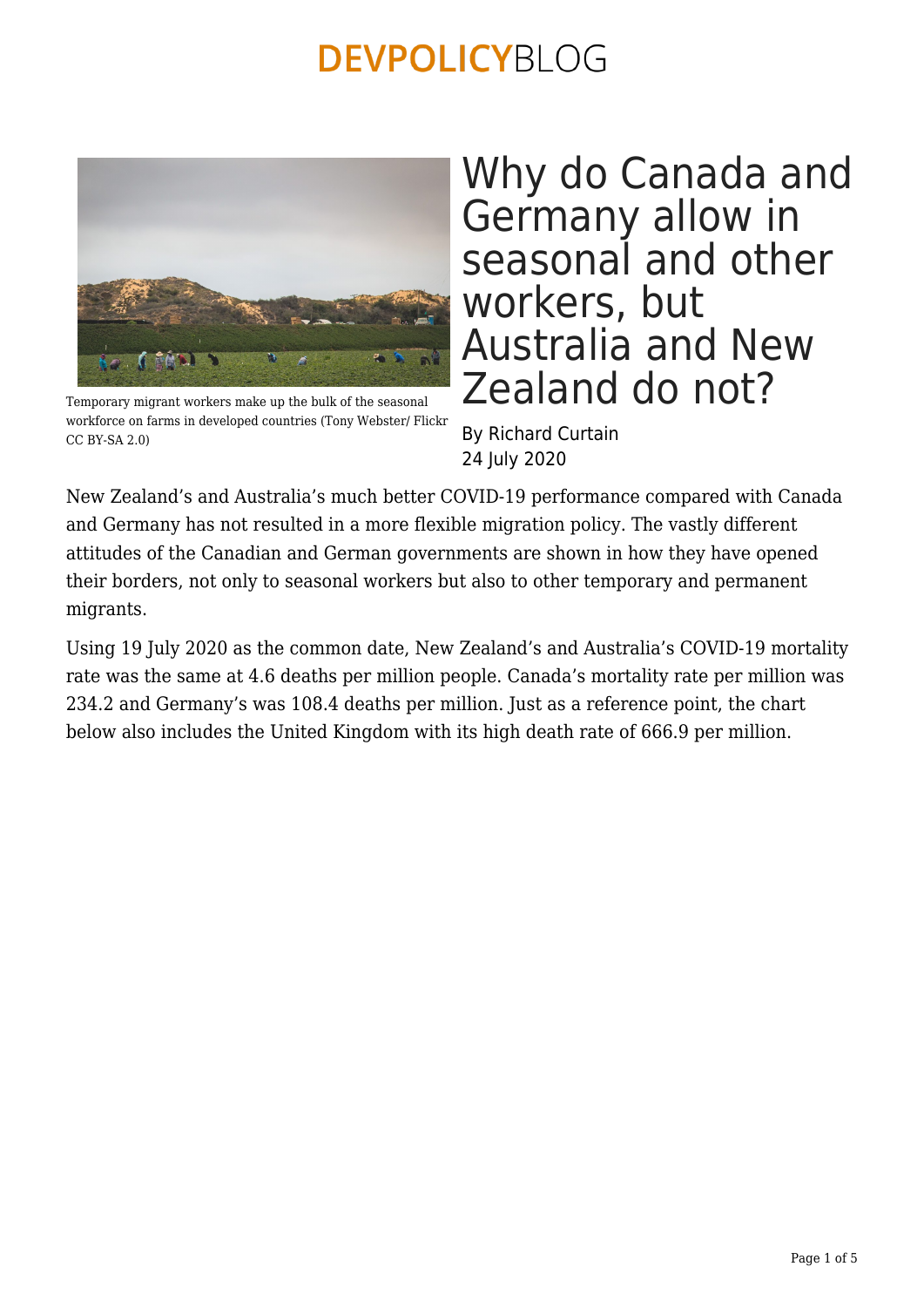

Temporary migrant workers make up the bulk of the seasonal workforce on farms in developed countries (Tony Webster/ Flickr CC BY-SA 2.0)

Why do Canada and Germany allow in seasonal and other workers, but Australia and New Zealand do not?

By Richard Curtain 24 July 2020

New Zealand's and Australia's much better COVID-19 performance compared with Canada and Germany has not resulted in a more flexible migration policy. The vastly different attitudes of the Canadian and German governments are shown in how they have opened their borders, not only to seasonal workers but also to other temporary and permanent migrants.

Using 19 July 2020 as the common date, New Zealand's and Australia's COVID-19 mortality rate was the same at 4.6 deaths per million people. Canada's mortality rate per million was 234.2 and Germany's was 108.4 deaths per million. Just as a reference point, the chart below also includes the United Kingdom with its high death rate of 666.9 per million.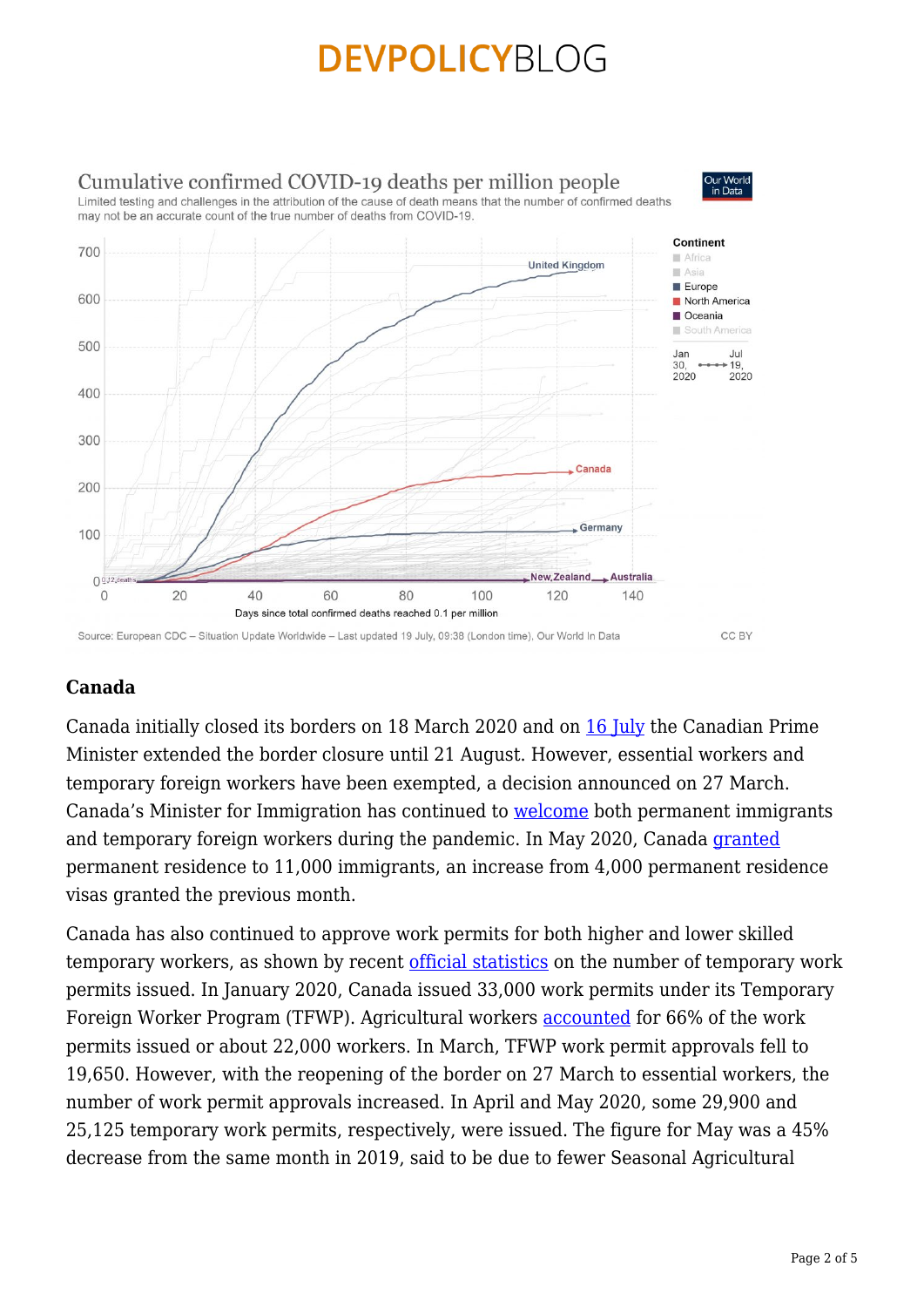

### **Canada**

Canada initially closed its borders on 18 March 2020 and on [16 July](https://www.cicnews.com/2020/07/keeping-canadians-safe-canada-u-s-border-closure-extended-0715050.html#gs.aof4us) the Canadian Prime Minister extended the border closure until 21 August. However, essential workers and temporary foreign workers have been exempted, a decision announced on 27 March. Canada's Minister for Immigration has continued to [welcome](https://www.cicnews.com/2020/06/after-u-s-immigration-ban-minister-mendicino-says-come-to-canada-0614840.html#gs.aofxm7) both permanent immigrants and temporary foreign workers during the pandemic. In May 2020, Canada [granted](https://www.cicnews.com/2020/07/canadas-immigration-levels-nearly-tripled-in-may-0715003.html#gs.aomegb) permanent residence to 11,000 immigrants, an increase from 4,000 permanent residence visas granted the previous month.

Canada has also continued to approve work permits for both higher and lower skilled temporary workers, as shown by recent [official statistics](https://www.cicnews.com/2020/07/canada-work-permit-levels-remain-steady-since-march-0715008.html#gs.aohsf1) on the number of temporary work permits issued. In January 2020, Canada issued 33,000 work permits under its Temporary Foreign Worker Program (TFWP). Agricultural workers [accounted](https://www.gocanadaservices.ca/ontario-pauses-the-application-intake-in-the-in-demand-skills-stream/) for 66% of the work permits issued or about 22,000 workers. In March, TFWP work permit approvals fell to 19,650. However, with the reopening of the border on 27 March to essential workers, the number of work permit approvals increased. In April and May 2020, some 29,900 and 25,125 temporary work permits, respectively, were issued. The figure for May was a 45% decrease from the same month in 2019, said to be due to fewer Seasonal Agricultural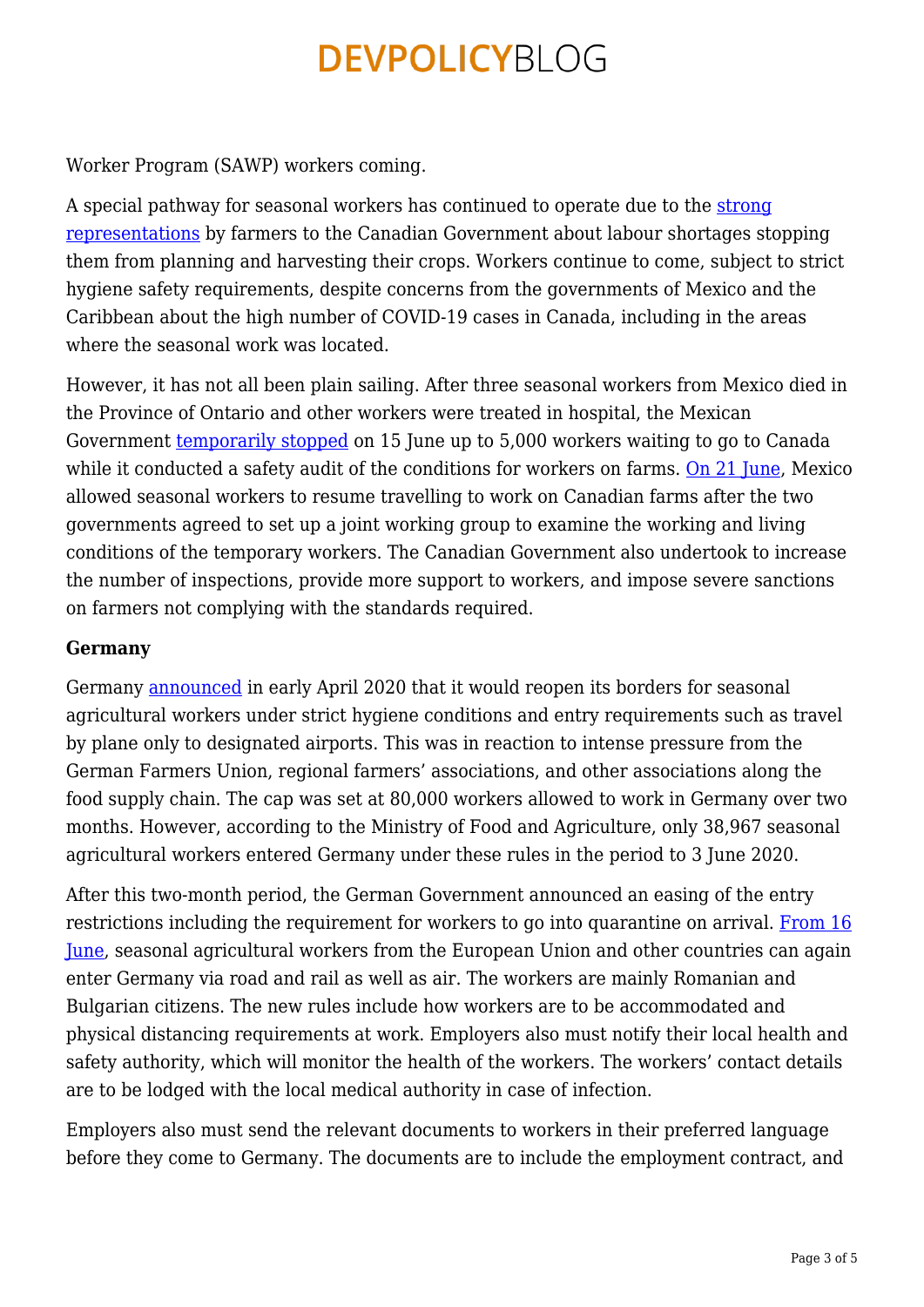Worker Program (SAWP) workers coming.

A special pathway for seasonal workers has continued to operate due to the [strong](https://theconversation.com/the-coronavirus-reveals-the-necessity-of-canadas-migrant-workers-136360) [representations](https://theconversation.com/the-coronavirus-reveals-the-necessity-of-canadas-migrant-workers-136360) by farmers to the Canadian Government about labour shortages stopping them from planning and harvesting their crops. Workers continue to come, subject to strict hygiene safety requirements, despite concerns from the governments of Mexico and the Caribbean about the high number of COVID-19 cases in Canada, including in the areas where the seasonal work was located.

However, it has not all been plain sailing. After three seasonal workers from Mexico died in the Province of Ontario and other workers were treated in hospital, the Mexican Government [temporarily stopped](https://edition.cnn.com/2020/06/16/americas/mexico-workers-canada-coronavirus/index.html) on 15 June up to 5,000 workers waiting to go to Canada while it conducted a safety audit of the conditions for workers on farms. [On 21 June](https://www.web24.news/u/2020/06/mexico-to-resume-sending-seasonal-workers-to-canada-2.html), Mexico allowed seasonal workers to resume travelling to work on Canadian farms after the two governments agreed to set up a joint working group to examine the working and living conditions of the temporary workers. The Canadian Government also undertook to increase the number of inspections, provide more support to workers, and impose severe sanctions on farmers not complying with the standards required.

#### **Germany**

Germany [announced](https://apps.fas.usda.gov/newgainapi/api/Report/DownloadReportByFileName?fileName=Germany%20Partially%20Re-opens%20Borders%20for%20Seasonal%20Agricultural%20Workers_Berlin_Germany_03-31-2020) in early April 2020 that it would reopen its borders for seasonal agricultural workers under strict hygiene conditions and entry requirements such as travel by plane only to designated airports. This was in reaction to intense pressure from the German Farmers Union, regional farmers' associations, and other associations along the food supply chain. The cap was set at 80,000 workers allowed to work in Germany over two months. However, according to the Ministry of Food and Agriculture, only 38,967 seasonal agricultural workers entered Germany under these rules in the period to 3 June 2020.

After this two-month period, the German Government announced an easing of the entry restrictions including the requirement for workers to go into quarantine on arrival. [From 16](https://apps.fas.usda.gov/newgainapi/api/Report/DownloadReportByFileName?fileName=Germany%20Announces%20Follow-Up%20Rule%20for%20Seasonal%20Workers_Berlin_Germany_06-08-2020) [June](https://apps.fas.usda.gov/newgainapi/api/Report/DownloadReportByFileName?fileName=Germany%20Announces%20Follow-Up%20Rule%20for%20Seasonal%20Workers_Berlin_Germany_06-08-2020), seasonal agricultural workers from the European Union and other countries can again enter Germany via road and rail as well as air. The workers are mainly Romanian and Bulgarian citizens. The new rules include how workers are to be accommodated and physical distancing requirements at work. Employers also must notify their local health and safety authority, which will monitor the health of the workers. The workers' contact details are to be lodged with the local medical authority in case of infection.

Employers also must send the relevant documents to workers in their preferred language before they come to Germany. The documents are to include the employment contract, and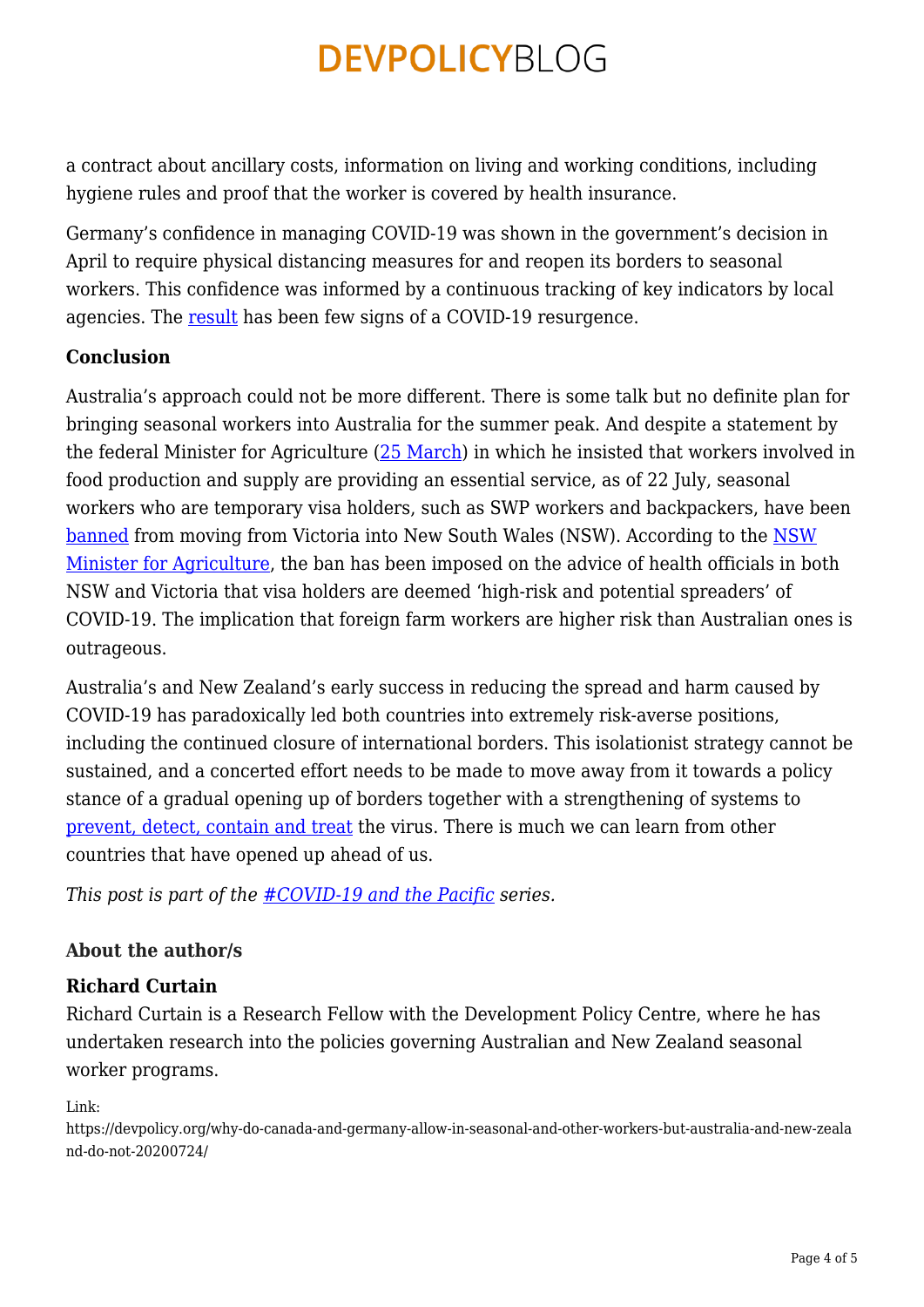a contract about ancillary costs, information on living and working conditions, including hygiene rules and proof that the worker is covered by health insurance.

Germany's confidence in managing COVID-19 was shown in the government's decision in April to require physical distancing measures for and reopen its borders to seasonal workers. This confidence was informed by a continuous tracking of key indicators by local agencies. The [result](https://www.exemplars.health/emerging-topics/epidemic-preparedness-and-response/covid-19/germany) has been few signs of a COVID-19 resurgence.

#### **Conclusion**

Australia's approach could not be more different. There is some talk but no definite plan for bringing seasonal workers into Australia for the summer peak. And despite a statement by the federal Minister for Agriculture ([25 March\)](https://minister.awe.gov.au/littleproud/media-releases/agriculture-jobs-essential) in which he insisted that workers involved in food production and supply are providing an essential service, as of 22 July, seasonal workers who are temporary visa holders, such as SWP workers and backpackers, have been [banned](https://www.abc.net.au/news/rural/2020-07-22/seasonal-workers-excluded-from-nsw/12481326) from moving from Victoria into New South Wales (NSW). According to the [NSW](https://www.abc.net.au/news/rural/2020-07-22/seasonal-workers-excluded-from-nsw/12481326) [Minister for Agriculture](https://www.abc.net.au/news/rural/2020-07-22/seasonal-workers-excluded-from-nsw/12481326), the ban has been imposed on the advice of health officials in both NSW and Victoria that visa holders are deemed 'high-risk and potential spreaders' of COVID-19. The implication that foreign farm workers are higher risk than Australian ones is outrageous.

Australia's and New Zealand's early success in reducing the spread and harm caused by COVID-19 has paradoxically led both countries into extremely risk-averse positions, including the continued closure of international borders. This isolationist strategy cannot be sustained, and a concerted effort needs to be made to move away from it towards a policy stance of a gradual opening up of borders together with a strengthening of systems to [prevent, detect, contain and treat](https://www.exemplars.health/-/media/files/epidemic-preparedness-and-response/epidemicone-pager2020-vf.pdf) the virus. There is much we can learn from other countries that have opened up ahead of us.

*This post is part of the [#COVID-19 and the Pacific](https://devpolicy.org/tag/covid-19-and-the-pacific/) series.*

### **About the author/s**

### **Richard Curtain**

Richard Curtain is a Research Fellow with the Development Policy Centre, where he has undertaken research into the policies governing Australian and New Zealand seasonal worker programs.

Link:

https://devpolicy.org/why-do-canada-and-germany-allow-in-seasonal-and-other-workers-but-australia-and-new-zeala nd-do-not-20200724/